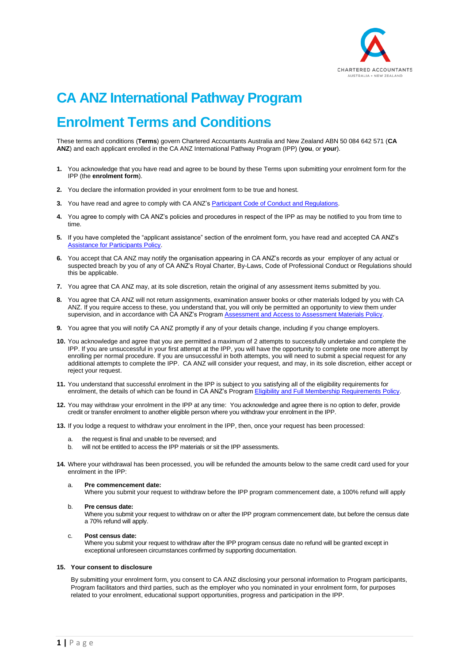

# **CA ANZ International Pathway Program Enrolment Terms and Conditions**

<span id="page-0-0"></span>These terms and conditions (**Terms**) govern Chartered Accountants Australia and New Zealand ABN 50 084 642 571 (**CA ANZ**) and each applicant enrolled in the CA ANZ International Pathway Program (IPP) (**you**, or **your**).

- **1.** You acknowledge that you have read and agree to be bound by these Terms upon submitting your enrolment form for the IPP (the **enrolment form**).
- **2.** You declare the information provided in your enrolment form to be true and honest.
- **3.** You have read and agree to comply with CA ANZ's Participant [Code of Conduct and Regulations.](#page-4-0)
- **4.** You agree to comply with CA ANZ's policies and procedures in respect of the IPP as may be notified to you from time to time.
- **5.** If you have completed the "applicant assistance" section of the enrolment form, you have read and accepted CA ANZ's [Assistance for Participants](#page-6-0) Policy.
- **6.** You accept that CA ANZ may notify the organisation appearing in CA ANZ's records as your employer of any actual or suspected breach by you of any of CA ANZ's Royal Charter, By-Laws, Code of Professional Conduct or Regulations should this be applicable.
- **7.** You agree that CA ANZ may, at its sole discretion, retain the original of any assessment items submitted by you.
- **8.** You agree that CA ANZ will not return assignments, examination answer books or other materials lodged by you with CA ANZ. If you require access to these, you understand that, you will only be permitted an opportunity to view them under supervision, and in accordance with CA ANZ's Program Assessment and [Access to Assessment](#page-8-0) Materials Policy.
- **9.** You agree that you will notify CA ANZ promptly if any of your details change, including if you change employers.
- **10.** You acknowledge and agree that you are permitted a maximum of 2 attempts to successfully undertake and complete the IPP. If you are unsuccessful in your first attempt at the IPP, you will have the opportunity to complete one more attempt by enrolling per normal procedure. If you are unsuccessful in both attempts, you will need to submit a special request for any additional attempts to complete the IPP. CA ANZ will consider your request, and may, in its sole discretion, either accept or reject your request.
- **11.** You understand that successful enrolment in the IPP is subject to you satisfying all of the eligibility requirements for enrolment, the details of which can be found in CA ANZ's Program [Eligibility and Full Membership](#page-2-0) Requirements Policy.
- **12.** You may withdraw your enrolment in the IPP at any time: You acknowledge and agree there is no option to defer, provide credit or transfer enrolment to another eligible person where you withdraw your enrolment in the IPP.
- **13.** If you lodge a request to withdraw your enrolment in the IPP, then, once your request has been processed:
	- the request is final and unable to be reversed; and
	- b. will not be entitled to access the IPP materials or sit the IPP assessments.
- **14.** Where your withdrawal has been processed, you will be refunded the amounts below to the same credit card used for your enrolment in the IPP:
	- a. **Pre commencement date:**

Where you submit your request to withdraw before the IPP program commencement date, a 100% refund will apply

#### b. **Pre census date:**

Where you submit your request to withdraw on or after the IPP program commencement date, but before the census date a 70% refund will apply.

#### c. **Post census date:**

Where you submit your request to withdraw after the IPP program census date no refund will be granted except in exceptional unforeseen circumstances confirmed by supporting documentation.

#### **15. Your consent to disclosure**

By submitting your enrolment form, you consent to CA ANZ disclosing your personal information to Program participants, Program facilitators and third parties, such as the employer who you nominated in your enrolment form, for purposes related to your enrolment, educational support opportunities, progress and participation in the IPP.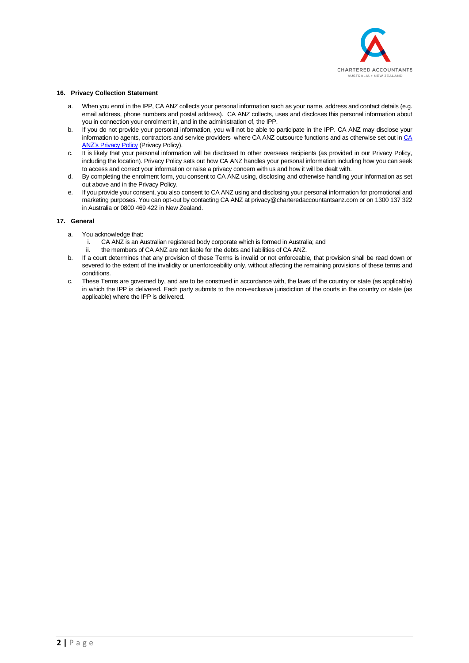

# **16. Privacy Collection Statement**

- a. When you enrol in the IPP, CA ANZ collects your personal information such as your name, address and contact details (e.g. email address, phone numbers and postal address). CA ANZ collects, uses and discloses this personal information about you in connection your enrolment in, and in the administration of, the IPP.
- b. If you do not provide your personal information, you will not be able to participate in the IPP. CA ANZ may disclose your information to agents, contractors and service providers where CA ANZ outsource functions and as otherwise set out i[n CA](https://www.charteredaccountantsanz.com/privacy-policy)  ANZ's [Privacy Policy](https://www.charteredaccountantsanz.com/privacy-policy) (Privacy Policy).
- c. It is likely that your personal information will be disclosed to other overseas recipients (as provided in our Privacy Policy, including the location). Privacy Policy sets out how CA ANZ handles your personal information including how you can seek to access and correct your information or raise a privacy concern with us and how it will be dealt with.
- d. By completing the enrolment form, you consent to CA ANZ using, disclosing and otherwise handling your information as set out above and in the Privacy Policy.
- e. If you provide your consent, you also consent to CA ANZ using and disclosing your personal information for promotional and marketing purposes. You can opt-out by contacting CA ANZ a[t privacy@charteredaccountantsanz.com](mailto:privacy@charteredaccountantsanz.com) or on 1300 137 322 in Australia or 0800 469 422 in New Zealand.

# **17. General**

- a. You acknowledge that:
	- i. CA ANZ is an Australian registered body corporate which is formed in Australia; and
	- ii. the members of CA ANZ are not liable for the debts and liabilities of CA ANZ.
- b. If a court determines that any provision of these Terms is invalid or not enforceable, that provision shall be read down or severed to the extent of the invalidity or unenforceability only, without affecting the remaining provisions of these terms and conditions.
- c. These Terms are governed by, and are to be construed in accordance with, the laws of the country or state (as applicable) in which the IPP is delivered. Each party submits to the non-exclusive jurisdiction of the courts in the country or state (as applicable) where the IPP is delivered.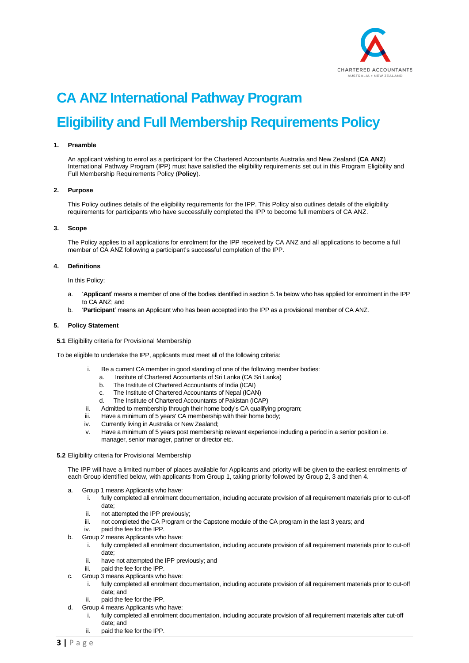

# <span id="page-2-0"></span>**CA ANZ International Pathway Program Eligibility and Full Membership Requirements Policy**

#### **1. Preamble**

An applicant wishing to enrol as a participant for the Chartered Accountants Australia and New Zealand (**CA ANZ**) International Pathway Program (IPP) must have satisfied the eligibility requirements set out in this Program Eligibility and Full Membership Requirements Policy (**Policy**).

#### **2. Purpose**

This Policy outlines details of the eligibility requirements for the IPP. This Policy also outlines details of the eligibility requirements for participants who have successfully completed the IPP to become full members of CA ANZ.

#### **3. Scope**

The Policy applies to all applications for enrolment for the IPP received by CA ANZ and all applications to become a full member of CA ANZ following a participant's successful completion of the IPP.

# **4. Definitions**

In this Policy:

- a. '**Applicant**' means a member of one of the bodies identified in section 5.1a below who has applied for enrolment in the IPP to CA ANZ; and
- b. '**Participant**' means an Applicant who has been accepted into the IPP as a provisional member of CA ANZ.

# **5. Policy Statement**

**5.1** Eligibility criteria for Provisional Membership

To be eligible to undertake the IPP, applicants must meet all of the following criteria:

- i. Be a current CA member in good standing of one of the following member bodies:
	- a. Institute of Chartered Accountants of Sri Lanka (CA Sri Lanka)
	- b. The Institute of Chartered Accountants of India (ICAI)
	- c. The Institute of Chartered Accountants of Nepal (ICAN)
	- d. The Institute of Chartered Accountants of Pakistan (ICAP)
- Admitted to membership through their home body's CA qualifying program;
- iii. Have a minimum of 5 years' CA membership with their home body;
- iv. Currently living in Australia or New Zealand;
- v. Have a minimum of 5 years post membership relevant experience including a period in a senior position i.e. manager, senior manager, partner or director etc.

#### **5.2** Eligibility criteria for Provisional Membership

The IPP will have a limited number of places available for Applicants and priority will be given to the earliest enrolments of each Group identified below, with applicants from Group 1, taking priority followed by Group 2, 3 and then 4.

- Group 1 means Applicants who have:
	- i. fully completed all enrolment documentation, including accurate provision of all requirement materials prior to cut-off date;
	- ii. not attempted the IPP previously;
	- iii. not completed the CA Program or the Capstone module of the CA program in the last 3 years; and
	- iv. paid the fee for the IPP.
- b. Group 2 means Applicants who have:
	- i. fully completed all enrolment documentation, including accurate provision of all requirement materials prior to cut-off date;
	- ii. have not attempted the IPP previously; and
	- iii. paid the fee for the IPP.
- c. Group 3 means Applicants who have:
	- i. fully completed all enrolment documentation, including accurate provision of all requirement materials prior to cut-off date; and
	- ii. paid the fee for the IPP.
	- Group 4 means Applicants who have:
	- i. fully completed all enrolment documentation, including accurate provision of all requirement materials after cut-off date; and
		- ii. paid the fee for the IPP.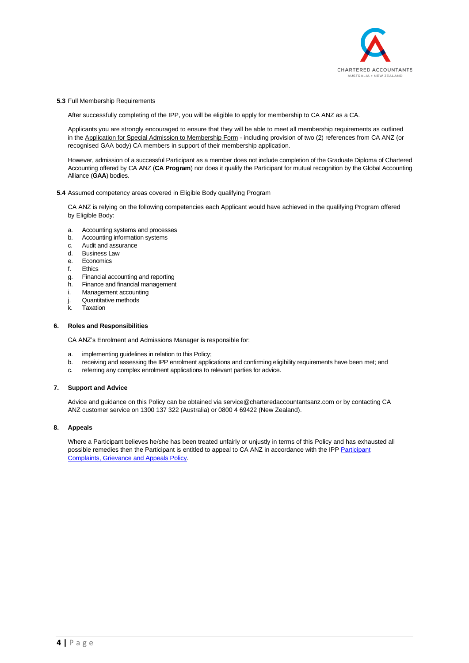

#### **5.3** Full Membership Requirements

After successfully completing of the IPP, you will be eligible to apply for membership to CA ANZ as a CA.

Applicants you are strongly encouraged to ensure that they will be able to meet all membership requirements as outlined in the [Application for Special Admission to Membership Form](https://www.charteredaccountantsanz.com/-/media/3723a868dbad4046a8540ee81b3636f9.ashx?la=en) - including provision of two (2) references from CA ANZ (or recognised GAA body) CA members in support of their membership application.

However, admission of a successful Participant as a member does not include completion of the Graduate Diploma of Chartered Accounting offered by CA ANZ (**CA Program**) nor does it qualify the Participant for mutual recognition by the Global Accounting Alliance (**GAA**) bodies.

# **5.4** Assumed competency areas covered in Eligible Body qualifying Program

CA ANZ is relying on the following competencies each Applicant would have achieved in the qualifying Program offered by Eligible Body:

- a. Accounting systems and processes
- b. Accounting information systems
- c. Audit and assurance
- d. Business Law
- e. Economics
- f. Ethics
- g. Financial accounting and reporting
- h. Finance and financial management
- i. Management accounting
- j. Quantitative methods
- .<br>k. Taxation

# **6. Roles and Responsibilities**

CA ANZ's Enrolment and Admissions Manager is responsible for:

- a. implementing guidelines in relation to this Policy;
- b. receiving and assessing the IPP enrolment applications and confirming eligibility requirements have been met; and
- c. referring any complex enrolment applications to relevant parties for advice.

#### **7. Support and Advice**

Advice and guidance on this Policy can be obtained via service@charteredaccountantsanz.com or by contacting CA ANZ customer service on 1300 137 322 (Australia) or 0800 4 69422 (New Zealand).

#### **8. Appeals**

Where a Participant believes he/she has been treated unfairly or unjustly in terms of this Policy and has exhausted all possible remedies then the [Participant](#page-9-0) is entitled to appeal to CA ANZ in accordance with the IPP Participant [Complaints, Grievance and Appeals Policy.](#page-9-0)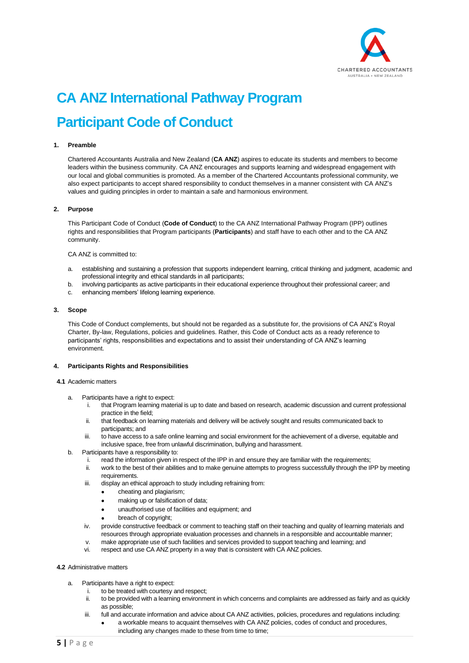

# <span id="page-4-0"></span>**CA ANZ International Pathway Program Participant Code of Conduct**

# **1. Preamble**

Chartered Accountants Australia and New Zealand (**CA ANZ**) aspires to educate its students and members to become leaders within the business community. CA ANZ encourages and supports learning and widespread engagement with our local and global communities is promoted. As a member of the Chartered Accountants professional community, we also expect participants to accept shared responsibility to conduct themselves in a manner consistent with CA ANZ's values and guiding principles in order to maintain a safe and harmonious environment.

#### **2. Purpose**

This Participant Code of Conduct (**Code of Conduct**) to the CA ANZ International Pathway Program (IPP) outlines rights and responsibilities that Program participants (**Participants**) and staff have to each other and to the CA ANZ community.

#### CA ANZ is committed to:

- a. establishing and sustaining a profession that supports independent learning, critical thinking and judgment, academic and professional integrity and ethical standards in all participants;
- b. involving participants as active participants in their educational experience throughout their professional career; and
- c. enhancing members' lifelong learning experience.

#### **3. Scope**

This Code of Conduct complements, but should not be regarded as a substitute for, the provisions of CA ANZ's Royal Charter, By-law, Regulations, policies and guidelines. Rather, this Code of Conduct acts as a ready reference to participants' rights, responsibilities and expectations and to assist their understanding of CA ANZ's learning environment.

#### **4. Participants Rights and Responsibilities**

#### **4.1** Academic matters

- a. Participants have a right to expect:
	- i. that Program learning material is up to date and based on research, academic discussion and current professional practice in the field;
	- ii. that feedback on learning materials and delivery will be actively sought and results communicated back to participants; and
	- iii. to have access to a safe online learning and social environment for the achievement of a diverse, equitable and inclusive space, free from unlawful discrimination, bullying and harassment.
- b. Participants have a responsibility to:
	- i. read the information given in respect of the IPP in and ensure they are familiar with the requirements;
	- ii. work to the best of their abilities and to make genuine attempts to progress successfully through the IPP by meeting requirements.
	- iii. display an ethical approach to study including refraining from:
		- cheating and plagiarism;
			- making up or falsification of data:
			- unauthorised use of facilities and equipment; and
			- breach of copyright;
	- iv. provide constructive feedback or comment to teaching staff on their teaching and quality of learning materials and resources through appropriate evaluation processes and channels in a responsible and accountable manner;
	- v. make appropriate use of such facilities and services provided to support teaching and learning; and
	- vi. respect and use CA ANZ property in a way that is consistent with CA ANZ policies.

#### **4.2** Administrative matters

- a. Participants have a right to expect:
	- i. to be treated with courtesy and respect;
	- ii. to be provided with a learning environment in which concerns and complaints are addressed as fairly and as quickly as possible;
	- iii. full and accurate information and advice about CA ANZ activities, policies, procedures and regulations including:
		- a workable means to acquaint themselves with CA ANZ policies, codes of conduct and procedures, including any changes made to these from time to time;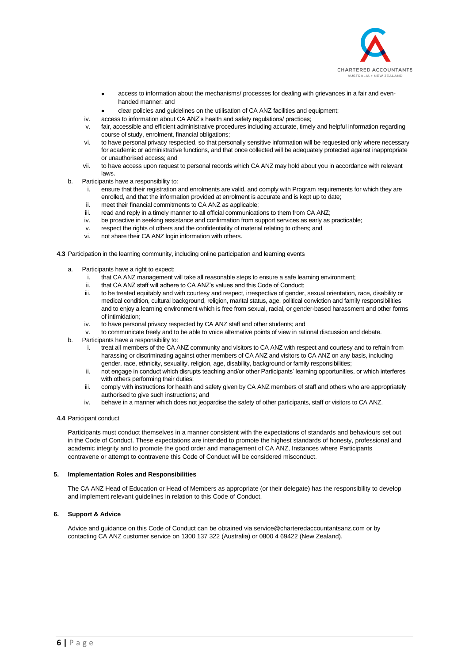

- access to information about the mechanisms/ processes for dealing with grievances in a fair and evenhanded manner; and
- clear policies and guidelines on the utilisation of CA ANZ facilities and equipment;
- iv. access to information about CA ANZ's health and safety regulations/ practices;
- v. fair, accessible and efficient administrative procedures including accurate, timely and helpful information regarding course of study, enrolment, financial obligations;
- vi. to have personal privacy respected, so that personally sensitive information will be requested only where necessary for academic or administrative functions, and that once collected will be adequately protected against inappropriate or unauthorised access; and
- vii. to have access upon request to personal records which CA ANZ may hold about you in accordance with relevant laws.
- b. Participants have a responsibility to:
	- i. ensure that their registration and enrolments are valid, and comply with Program requirements for which they are enrolled, and that the information provided at enrolment is accurate and is kept up to date;
	- ii. meet their financial commitments to CA ANZ as applicable;
	- iii. read and reply in a timely manner to all official communications to them from CA ANZ;
	- iv. be proactive in seeking assistance and confirmation from support services as early as practicable;
	- v. respect the rights of others and the confidentiality of material relating to others; and
	- vi. not share their CA ANZ login information with others.

**4.3** Participation in the learning community, including online participation and learning events

- Participants have a right to expect:
	- i. that CA ANZ management will take all reasonable steps to ensure a safe learning environment;
	- ii. that CA ANZ staff will adhere to CA ANZ's values and this Code of Conduct;
	- iii. to be treated equitably and with courtesy and respect, irrespective of gender, sexual orientation, race, disability or medical condition, cultural background, religion, marital status, age, political conviction and family responsibilities and to enjoy a learning environment which is free from sexual, racial, or gender-based harassment and other forms of intimidation;
	- iv. to have personal privacy respected by CA ANZ staff and other students; and
	- v. to communicate freely and to be able to voice alternative points of view in rational discussion and debate.
- b. Participants have a responsibility to:
	- i. treat all members of the CA ANZ community and visitors to CA ANZ with respect and courtesy and to refrain from harassing or discriminating against other members of CA ANZ and visitors to CA ANZ on any basis, including gender, race, ethnicity, sexuality, religion, age, disability, background or family responsibilities;
	- ii. not engage in conduct which disrupts teaching and/or other Participants' learning opportunities, or which interferes with others performing their duties;
	- iii. comply with instructions for health and safety given by CA ANZ members of staff and others who are appropriately authorised to give such instructions; and
	- iv. behave in a manner which does not jeopardise the safety of other participants, staff or visitors to CA ANZ.

# **4.4** Participant conduct

Participants must conduct themselves in a manner consistent with the expectations of standards and behaviours set out in the Code of Conduct. These expectations are intended to promote the highest standards of honesty, professional and academic integrity and to promote the good order and management of CA ANZ, Instances where Participants contravene or attempt to contravene this Code of Conduct will be considered misconduct.

# **5. Implementation Roles and Responsibilities**

The CA ANZ Head of Education or Head of Members as appropriate (or their delegate) has the responsibility to develop and implement relevant guidelines in relation to this Code of Conduct.

# **6. Support & Advice**

Advice and guidance on this Code of Conduct can be obtained via service@charteredaccountantsanz.com or by contacting CA ANZ customer service on 1300 137 322 (Australia) or 0800 4 69422 (New Zealand).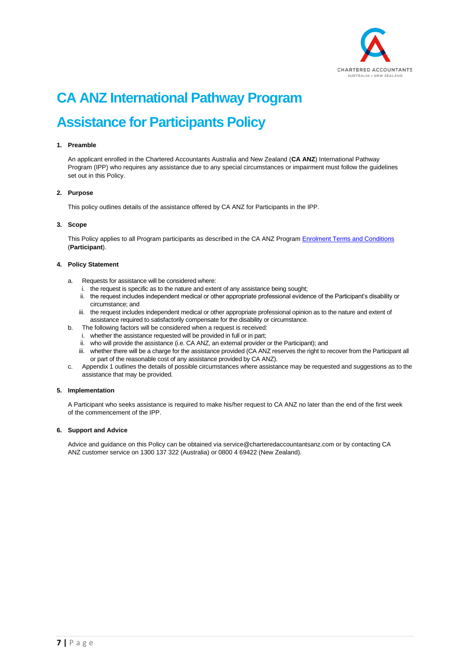

# <span id="page-6-0"></span>**CA ANZ International Pathway Program Assistance for Participants Policy**

# **1. Preamble**

An applicant enrolled in the Chartered Accountants Australia and New Zealand (**CA ANZ**) International Pathway Program (IPP) who requires any assistance due to any special circumstances or impairment must follow the guidelines set out in this Policy.

# **2. Purpose**

This policy outlines details of the assistance offered by CA ANZ for Participants in the IPP.

# **3. Scope**

This Policy applies to all Program participants as described in the CA ANZ Program [Enrolment Terms and](#page-0-0) Conditions (**Participant**).

# **4. Policy Statement**

- a. Requests for assistance will be considered where:
	- i. the request is specific as to the nature and extent of any assistance being sought;
	- ii. the request includes independent medical or other appropriate professional evidence of the Participant's disability or circumstance; and
	- iii. the request includes independent medical or other appropriate professional opinion as to the nature and extent of assistance required to satisfactorily compensate for the disability or circumstance.
- b. The following factors will be considered when a request is received:
	- i. whether the assistance requested will be provided in full or in part;
	- ii. who will provide the assistance (i.e. CA ANZ, an external provider or the Participant); and
	- iii. whether there will be a charge for the assistance provided (CA ANZ reserves the right to recover from the Participant all or part of the reasonable cost of any assistance provided by CA ANZ).
- c. Appendix 1 outlines the details of possible circumstances where assistance may be requested and suggestions as to the assistance that may be provided.

# **5. Implementation**

A Participant who seeks assistance is required to make his/her request to CA ANZ no later than the end of the first week of the commencement of the IPP.

# **6. Support and Advice**

Advice and guidance on this Policy can be obtained via service@charteredaccountantsanz.com or by contacting CA ANZ customer service on 1300 137 322 (Australia) or 0800 4 69422 (New Zealand).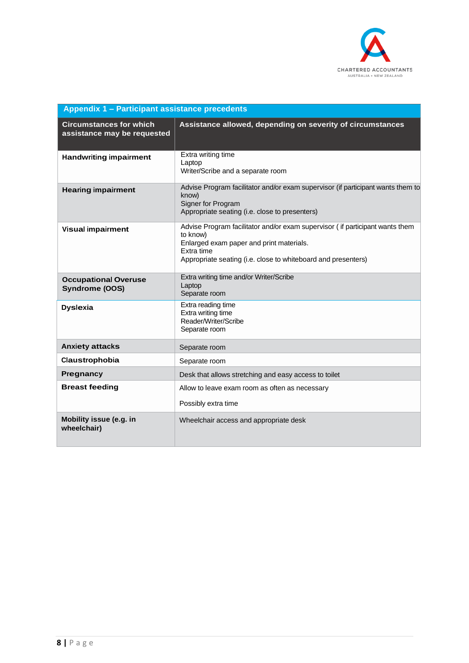

| Appendix 1 - Participant assistance precedents                |                                                                                                                                                                                                                     |
|---------------------------------------------------------------|---------------------------------------------------------------------------------------------------------------------------------------------------------------------------------------------------------------------|
| <b>Circumstances for which</b><br>assistance may be requested | Assistance allowed, depending on severity of circumstances                                                                                                                                                          |
| <b>Handwriting impairment</b>                                 | Extra writing time<br>Laptop<br>Writer/Scribe and a separate room                                                                                                                                                   |
| <b>Hearing impairment</b>                                     | Advise Program facilitator and/or exam supervisor (if participant wants them to<br>know)<br>Signer for Program<br>Appropriate seating (i.e. close to presenters)                                                    |
| <b>Visual impairment</b>                                      | Advise Program facilitator and/or exam supervisor (if participant wants them<br>to know)<br>Enlarged exam paper and print materials.<br>Extra time<br>Appropriate seating (i.e. close to whiteboard and presenters) |
| <b>Occupational Overuse</b><br>Syndrome (OOS)                 | Extra writing time and/or Writer/Scribe<br>Laptop<br>Separate room                                                                                                                                                  |
| <b>Dyslexia</b>                                               | Extra reading time<br>Extra writing time<br>Reader/Writer/Scribe<br>Separate room                                                                                                                                   |
| <b>Anxiety attacks</b>                                        | Separate room                                                                                                                                                                                                       |
| Claustrophobia                                                | Separate room                                                                                                                                                                                                       |
| Pregnancy                                                     | Desk that allows stretching and easy access to toilet                                                                                                                                                               |
| <b>Breast feeding</b>                                         | Allow to leave exam room as often as necessary<br>Possibly extra time                                                                                                                                               |
| Mobility issue (e.g. in<br>wheelchair)                        | Wheelchair access and appropriate desk                                                                                                                                                                              |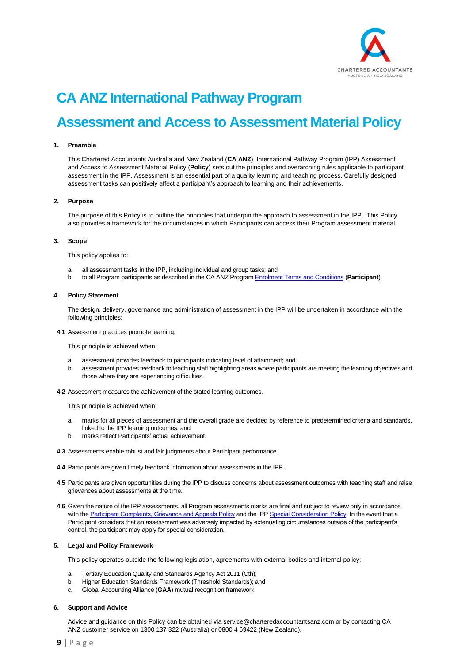

# **CA ANZ International Pathway Program**

# <span id="page-8-0"></span>**Assessment and Access to Assessment Material Policy**

#### **1. Preamble**

This Chartered Accountants Australia and New Zealand (**CA ANZ**) International Pathway Program (IPP) Assessment and Access to Assessment Material Policy (**Policy**) sets out the principles and overarching rules applicable to participant assessment in the IPP. Assessment is an essential part of a quality learning and teaching process. Carefully designed assessment tasks can positively affect a participant's approach to learning and their achievements.

# **2. Purpose**

The purpose of this Policy is to outline the principles that underpin the approach to assessment in the IPP. This Policy also provides a framework for the circumstances in which Participants can access their Program assessment material.

# **3. Scope**

This policy applies to:

- a. all assessment tasks in the IPP, including individual and group tasks; and
- b. to all Program participants as described in the CA ANZ Program [Enrolment Terms](#page-0-0) and Conditions (**Participant**).

#### **4. Policy Statement**

The design, delivery, governance and administration of assessment in the IPP will be undertaken in accordance with the following principles:

**4.1** Assessment practices promote learning.

This principle is achieved when:

- a. assessment provides feedback to participants indicating level of attainment; and
- b. assessment provides feedback to teaching staff highlighting areas where participants are meeting the learning objectives and those where they are experiencing difficulties.
- **4.2** Assessment measures the achievement of the stated learning outcomes.

This principle is achieved when:

- a. marks for all pieces of assessment and the overall grade are decided by reference to predetermined criteria and standards, linked to the IPP learning outcomes; and
- b. marks reflect Participants' actual achievement.
- **4.3** Assessments enable robust and fair judgments about Participant performance.
- **4.4** Participants are given timely feedback information about assessments in the IPP.
- **4.5** Participants are given opportunities during the IPP to discuss concerns about assessment outcomes with teaching staff and raise grievances about assessments at the time.
- **4.6** Given the nature of the IPP assessments, all Program assessments marks are final and subject to review only in accordance with th[e Participant Complaints, Grievance and Appeals](#page-9-0) Policy and the IPP [Special Consideration Policy.](#page-11-0) In the event that a Participant considers that an assessment was adversely impacted by extenuating circumstances outside of the participant's control, the participant may apply for special consideration.

#### **5. Legal and Policy Framework**

This policy operates outside the following legislation, agreements with external bodies and internal policy:

- Tertiary Education Quality and Standards Agency Act 2011 (Cth);
- b. Higher Education Standards Framework (Threshold Standards); and
- c. Global Accounting Alliance (**GAA**) mutual recognition framework

#### **6. Support and Advice**

Advice and guidance on this Policy can be obtained via service@charteredaccountantsanz.com or by contacting CA ANZ customer service on 1300 137 322 (Australia) or 0800 4 69422 (New Zealand).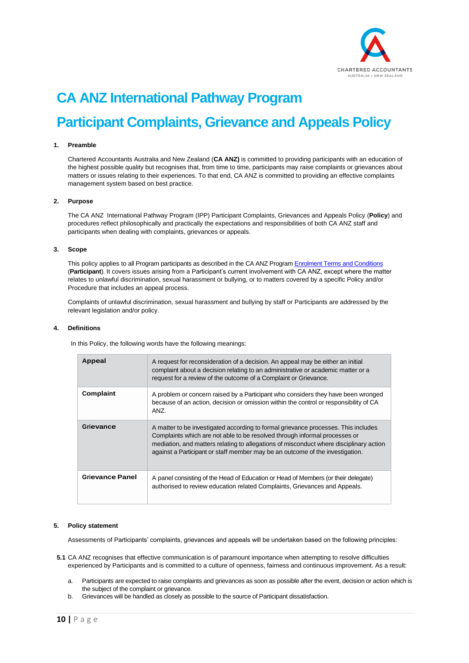

# <span id="page-9-0"></span>**CA ANZ International Pathway Program Participant Complaints, Grievance and Appeals Policy**

# **1. Preamble**

Chartered Accountants Australia and New Zealand (**CA ANZ)** is committed to providing participants with an education of the highest possible quality but recognises that, from time to time, participants may raise complaints or grievances about matters or issues relating to their experiences. To that end, CA ANZ is committed to providing an effective complaints management system based on best practice.

# **2. Purpose**

The CA ANZ International Pathway Program (IPP) Participant Complaints, Grievances and Appeals Policy (**Policy**) and procedures reflect philosophically and practically the expectations and responsibilities of both CA ANZ staff and participants when dealing with complaints, grievances or appeals.

#### **3. Scope**

This policy applies to all Program participants as described in the CA ANZ Program [Enrolment Terms](#page-0-0) and Conditions (**Participant**). It covers issues arising from a Participant's current involvement with CA ANZ, except where the matter relates to unlawful discrimination, sexual harassment or bullying, or to matters covered by a specific Policy and/or Procedure that includes an appeal process.

Complaints of unlawful discrimination, sexual harassment and bullying by staff or Participants are addressed by the relevant legislation and/or policy.

#### **4. Definitions**

In this Policy, the following words have the following meanings:

| Appeal                 | A request for reconsideration of a decision. An appeal may be either an initial<br>complaint about a decision relating to an administrative or academic matter or a<br>request for a review of the outcome of a Complaint or Grievance.                                                                                                     |
|------------------------|---------------------------------------------------------------------------------------------------------------------------------------------------------------------------------------------------------------------------------------------------------------------------------------------------------------------------------------------|
| Complaint              | A problem or concern raised by a Participant who considers they have been wronged<br>because of an action, decision or omission within the control or responsibility of CA<br>ANZ.                                                                                                                                                          |
| Grievance              | A matter to be investigated according to formal grievance processes. This includes<br>Complaints which are not able to be resolved through informal processes or<br>mediation, and matters relating to allegations of misconduct where disciplinary action<br>against a Participant or staff member may be an outcome of the investigation. |
| <b>Grievance Panel</b> | A panel consisting of the Head of Education or Head of Members (or their delegate)<br>authorised to review education related Complaints, Grievances and Appeals.                                                                                                                                                                            |

#### **5. Policy statement**

Assessments of Participants' complaints, grievances and appeals will be undertaken based on the following principles:

- **5.1** CA ANZ recognises that effective communication is of paramount importance when attempting to resolve difficulties experienced by Participants and is committed to a culture of openness, fairness and continuous improvement. As a result:
	- a. Participants are expected to raise complaints and grievances as soon as possible after the event, decision or action which is the subject of the complaint or grievance.
	- b. Grievances will be handled as closely as possible to the source of Participant dissatisfaction.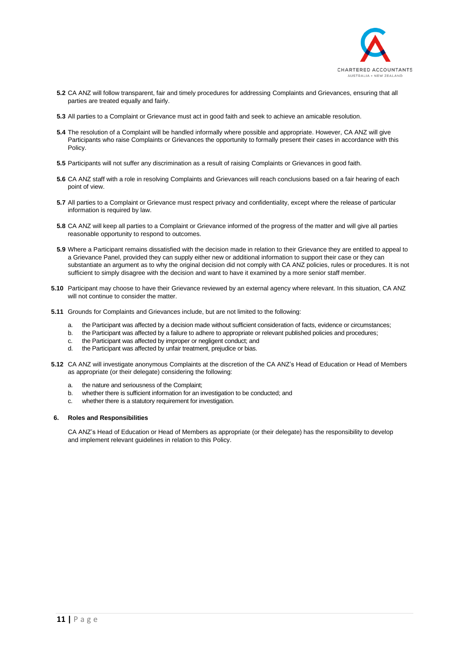

- **5.2** CA ANZ will follow transparent, fair and timely procedures for addressing Complaints and Grievances, ensuring that all parties are treated equally and fairly.
- **5.3** All parties to a Complaint or Grievance must act in good faith and seek to achieve an amicable resolution.
- **5.4** The resolution of a Complaint will be handled informally where possible and appropriate. However, CA ANZ will give Participants who raise Complaints or Grievances the opportunity to formally present their cases in accordance with this Policy.
- **5.5** Participants will not suffer any discrimination as a result of raising Complaints or Grievances in good faith.
- **5.6** CA ANZ staff with a role in resolving Complaints and Grievances will reach conclusions based on a fair hearing of each point of view.
- **5.7** All parties to a Complaint or Grievance must respect privacy and confidentiality, except where the release of particular information is required by law.
- **5.8** CA ANZ will keep all parties to a Complaint or Grievance informed of the progress of the matter and will give all parties reasonable opportunity to respond to outcomes.
- **5.9** Where a Participant remains dissatisfied with the decision made in relation to their Grievance they are entitled to appeal to a Grievance Panel, provided they can supply either new or additional information to support their case or they can substantiate an argument as to why the original decision did not comply with CA ANZ policies, rules or procedures. It is not sufficient to simply disagree with the decision and want to have it examined by a more senior staff member.
- **5.10** Participant may choose to have their Grievance reviewed by an external agency where relevant. In this situation, CA ANZ will not continue to consider the matter.
- **5.11** Grounds for Complaints and Grievances include, but are not limited to the following:
	- a. the Participant was affected by a decision made without sufficient consideration of facts, evidence or circumstances;
	- b. the Participant was affected by a failure to adhere to appropriate or relevant published policies and procedures;
	- c. the Participant was affected by improper or negligent conduct; and
	- d. the Participant was affected by unfair treatment, prejudice or bias.
- **5.12** CA ANZ will investigate anonymous Complaints at the discretion of the CA ANZ's Head of Education or Head of Members as appropriate (or their delegate) considering the following:
	- a. the nature and seriousness of the Complaint;
	- b. whether there is sufficient information for an investigation to be conducted; and
	- c. whether there is a statutory requirement for investigation.

# **6. Roles and Responsibilities**

CA ANZ's Head of Education or Head of Members as appropriate (or their delegate) has the responsibility to develop and implement relevant guidelines in relation to this Policy.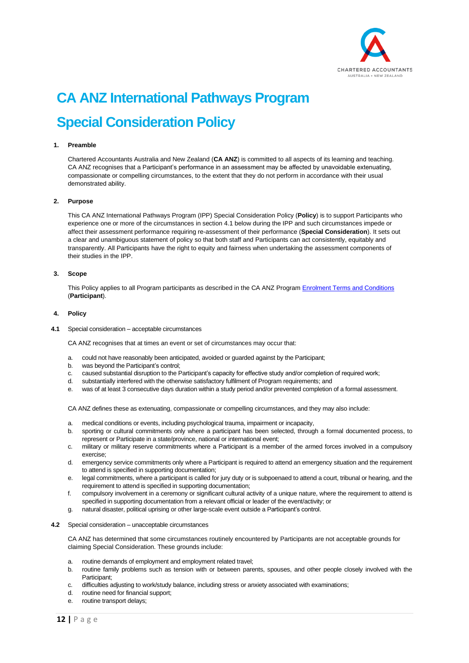

# <span id="page-11-0"></span>**CA ANZ International Pathways Program Special Consideration Policy**

# **1. Preamble**

Chartered Accountants Australia and New Zealand (**CA ANZ**) is committed to all aspects of its learning and teaching. CA ANZ recognises that a Participant's performance in an assessment may be affected by unavoidable extenuating, compassionate or compelling circumstances, to the extent that they do not perform in accordance with their usual demonstrated ability.

#### **2. Purpose**

This CA ANZ International Pathways Program (IPP) Special Consideration Policy (**Policy**) is to support Participants who experience one or more of the circumstances in section 4.1 below during the IPP and such circumstances impede or affect their assessment performance requiring re-assessment of their performance (**Special Consideration**). It sets out a clear and unambiguous statement of policy so that both staff and Participants can act consistently, equitably and transparently. All Participants have the right to equity and fairness when undertaking the assessment components of their studies in the IPP.

#### **3. Scope**

This Policy applies to all Program participants as described in the CA ANZ Program Enrolment [Terms and Conditions](#page-0-0) (**Participant**).

# **4. Policy**

**4.1** Special consideration – acceptable circumstances

CA ANZ recognises that at times an event or set of circumstances may occur that:

- a. could not have reasonably been anticipated, avoided or guarded against by the Participant;
- b. was beyond the Participant's control;
- c. caused substantial disruption to the Participant's capacity for effective study and/or completion of required work;
- d. substantially interfered with the otherwise satisfactory fulfilment of Program requirements; and
- e. was of at least 3 consecutive days duration within a study period and/or prevented completion of a formal assessment.

CA ANZ defines these as extenuating, compassionate or compelling circumstances, and they may also include:

- a. medical conditions or events, including psychological trauma, impairment or incapacity,
- b. sporting or cultural commitments only where a participant has been selected, through a formal documented process, to represent or Participate in a state/province, national or international event;
- c. military or military reserve commitments where a Participant is a member of the armed forces involved in a compulsory exercise;
- d. emergency service commitments only where a Participant is required to attend an emergency situation and the requirement to attend is specified in supporting documentation;
- e. legal commitments, where a participant is called for jury duty or is subpoenaed to attend a court, tribunal or hearing, and the requirement to attend is specified in supporting documentation;
- f. compulsory involvement in a ceremony or significant cultural activity of a unique nature, where the requirement to attend is specified in supporting documentation from a relevant official or leader of the event/activity; or
- g. natural disaster, political uprising or other large-scale event outside a Participant's control.
- **4.2** Special consideration unacceptable circumstances

CA ANZ has determined that some circumstances routinely encountered by Participants are not acceptable grounds for claiming Special Consideration. These grounds include:

- a. routine demands of employment and employment related travel;
- b. routine family problems such as tension with or between parents, spouses, and other people closely involved with the Participant;
- c. difficulties adjusting to work/study balance, including stress or anxiety associated with examinations;
- d. routine need for financial support;
- e. routine transport delays;